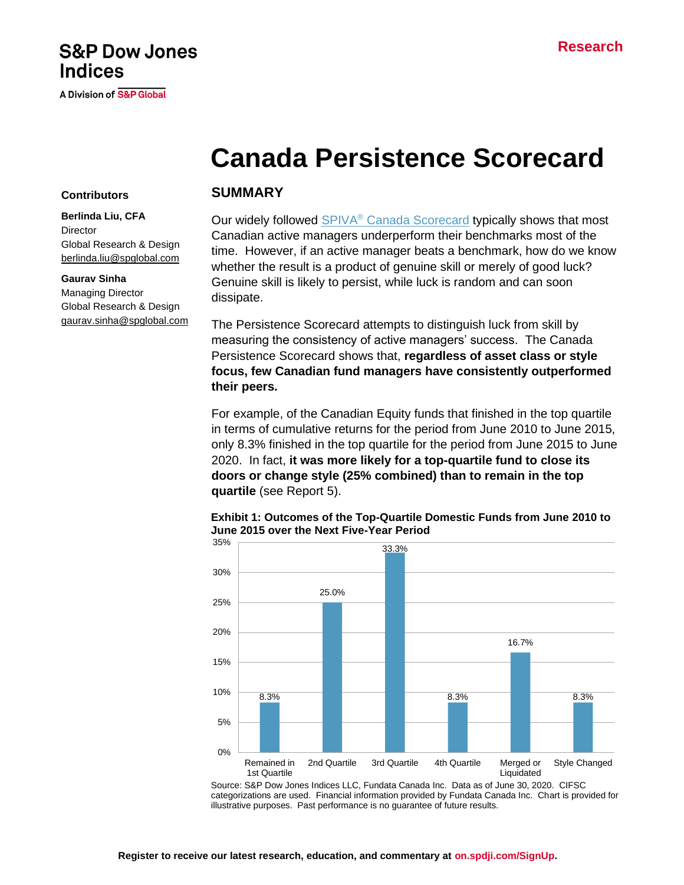# **S&P Dow Jones Indices**

A Division of S&P Global

# **Canada Persistence Scorecard**

#### **Contributors**

**Berlinda Liu, CFA Director** Global Research & Design [berlinda.liu@spglobal.com](mailto:berlinda.liu@spglobal.com)

#### **Gaurav Sinha**

Managing Director Global Research & Design [gaurav.sinha@spglobal.com](mailto:gaurav.sinha@spglobal.com)

#### **SUMMARY**

Our widely followed SPIVA<sup>®</sup> [Canada Scorecard](https://www.spglobal.com/spdji/en/spiva/article/spiva-canada) typically shows that most Canadian active managers underperform their benchmarks most of the time. However, if an active manager beats a benchmark, how do we know whether the result is a product of genuine skill or merely of good luck? Genuine skill is likely to persist, while luck is random and can soon dissipate.

The Persistence Scorecard attempts to distinguish luck from skill by measuring the consistency of active managers' success. The Canada Persistence Scorecard shows that, **regardless of asset class or style focus, few Canadian fund managers have consistently outperformed their peers.**

For example, of the Canadian Equity funds that finished in the top quartile in terms of cumulative returns for the period from June 2010 to June 2015, only 8.3% finished in the top quartile for the period from June 2015 to June 2020. In fact, **it was more likely for a top-quartile fund to close its doors or change style (25% combined) than to remain in the top quartile** (see Report 5).



#### **Exhibit 1: Outcomes of the Top-Quartile Domestic Funds from June 2010 to June 2015 over the Next Five-Year Period**

Source: S&P Dow Jones Indices LLC, Fundata Canada Inc. Data as of June 30, 2020. CIFSC categorizations are used. Financial information provided by Fundata Canada Inc. Chart is provided for illustrative purposes. Past performance is no guarantee of future results.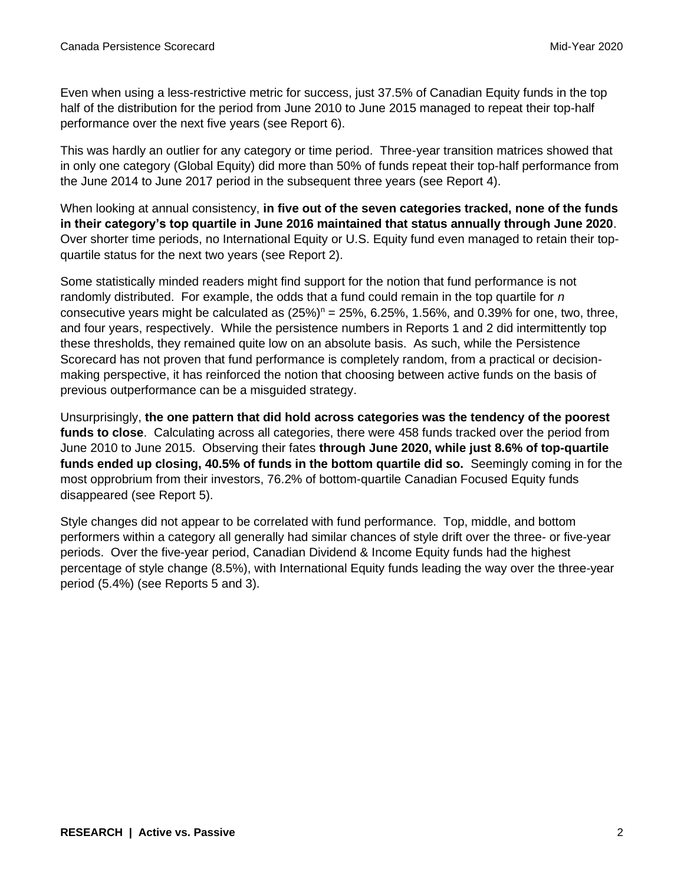Even when using a less-restrictive metric for success, just 37.5% of Canadian Equity funds in the top half of the distribution for the period from June 2010 to June 2015 managed to repeat their top-half performance over the next five years (see Report 6).

This was hardly an outlier for any category or time period. Three-year transition matrices showed that in only one category (Global Equity) did more than 50% of funds repeat their top-half performance from the June 2014 to June 2017 period in the subsequent three years (see Report 4).

When looking at annual consistency, **in five out of the seven categories tracked, none of the funds in their category's top quartile in June 2016 maintained that status annually through June 2020**. Over shorter time periods, no International Equity or U.S. Equity fund even managed to retain their topquartile status for the next two years (see Report 2).

Some statistically minded readers might find support for the notion that fund performance is not randomly distributed. For example, the odds that a fund could remain in the top quartile for *n* consecutive years might be calculated as  $(25%)<sup>n</sup> = 25%, 6.25%, 1.56%,$  and 0.39% for one, two, three, and four years, respectively. While the persistence numbers in Reports 1 and 2 did intermittently top these thresholds, they remained quite low on an absolute basis. As such, while the Persistence Scorecard has not proven that fund performance is completely random, from a practical or decisionmaking perspective, it has reinforced the notion that choosing between active funds on the basis of previous outperformance can be a misguided strategy.

Unsurprisingly, **the one pattern that did hold across categories was the tendency of the poorest funds to close**. Calculating across all categories, there were 458 funds tracked over the period from June 2010 to June 2015. Observing their fates **through June 2020, while just 8.6% of top-quartile funds ended up closing, 40.5% of funds in the bottom quartile did so.** Seemingly coming in for the most opprobrium from their investors, 76.2% of bottom-quartile Canadian Focused Equity funds disappeared (see Report 5).

Style changes did not appear to be correlated with fund performance. Top, middle, and bottom performers within a category all generally had similar chances of style drift over the three- or five-year periods. Over the five-year period, Canadian Dividend & Income Equity funds had the highest percentage of style change (8.5%), with International Equity funds leading the way over the three-year period (5.4%) (see Reports 5 and 3).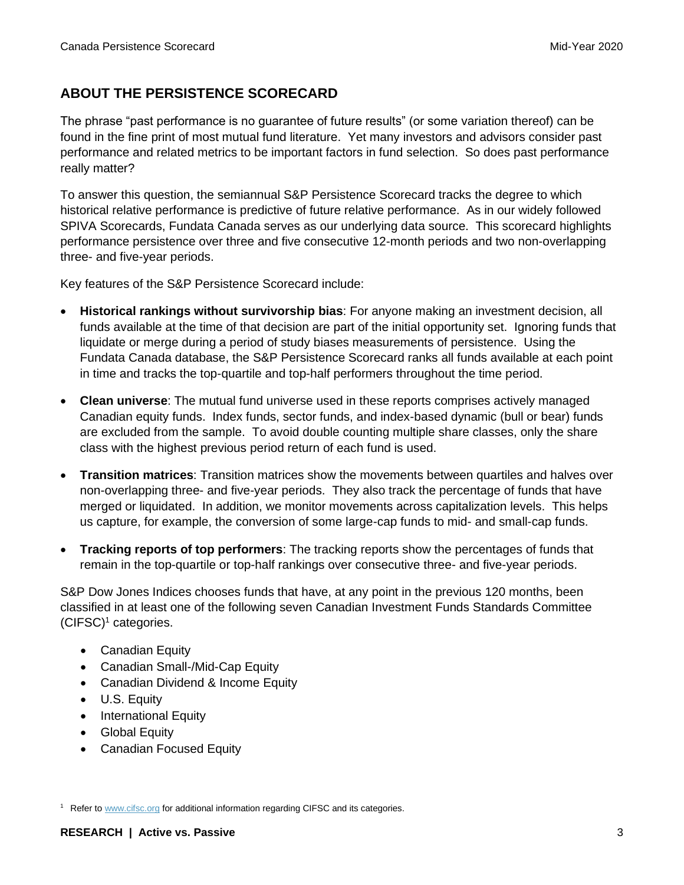### **ABOUT THE PERSISTENCE SCORECARD**

The phrase "past performance is no guarantee of future results" (or some variation thereof) can be found in the fine print of most mutual fund literature. Yet many investors and advisors consider past performance and related metrics to be important factors in fund selection. So does past performance really matter?

To answer this question, the semiannual S&P Persistence Scorecard tracks the degree to which historical relative performance is predictive of future relative performance. As in our widely followed SPIVA Scorecards, Fundata Canada serves as our underlying data source. This scorecard highlights performance persistence over three and five consecutive 12-month periods and two non-overlapping three- and five-year periods.

Key features of the S&P Persistence Scorecard include:

- **Historical rankings without survivorship bias**: For anyone making an investment decision, all funds available at the time of that decision are part of the initial opportunity set. Ignoring funds that liquidate or merge during a period of study biases measurements of persistence. Using the Fundata Canada database, the S&P Persistence Scorecard ranks all funds available at each point in time and tracks the top-quartile and top-half performers throughout the time period.
- **Clean universe**: The mutual fund universe used in these reports comprises actively managed Canadian equity funds. Index funds, sector funds, and index-based dynamic (bull or bear) funds are excluded from the sample. To avoid double counting multiple share classes, only the share class with the highest previous period return of each fund is used.
- **Transition matrices**: Transition matrices show the movements between quartiles and halves over non-overlapping three- and five-year periods. They also track the percentage of funds that have merged or liquidated. In addition, we monitor movements across capitalization levels. This helps us capture, for example, the conversion of some large-cap funds to mid- and small-cap funds.
- **Tracking reports of top performers**: The tracking reports show the percentages of funds that remain in the top-quartile or top-half rankings over consecutive three- and five-year periods.

S&P Dow Jones Indices chooses funds that have, at any point in the previous 120 months, been classified in at least one of the following seven Canadian Investment Funds Standards Committee  $(CIFSC)^1$  categories.

- Canadian Equity
- Canadian Small-/Mid-Cap Equity
- Canadian Dividend & Income Equity
- U.S. Equity
- International Equity
- Global Equity
- Canadian Focused Equity

<sup>1</sup> Refer t[o www.cifsc.org](http://www.cifsc.org/) for additional information regarding CIFSC and its categories.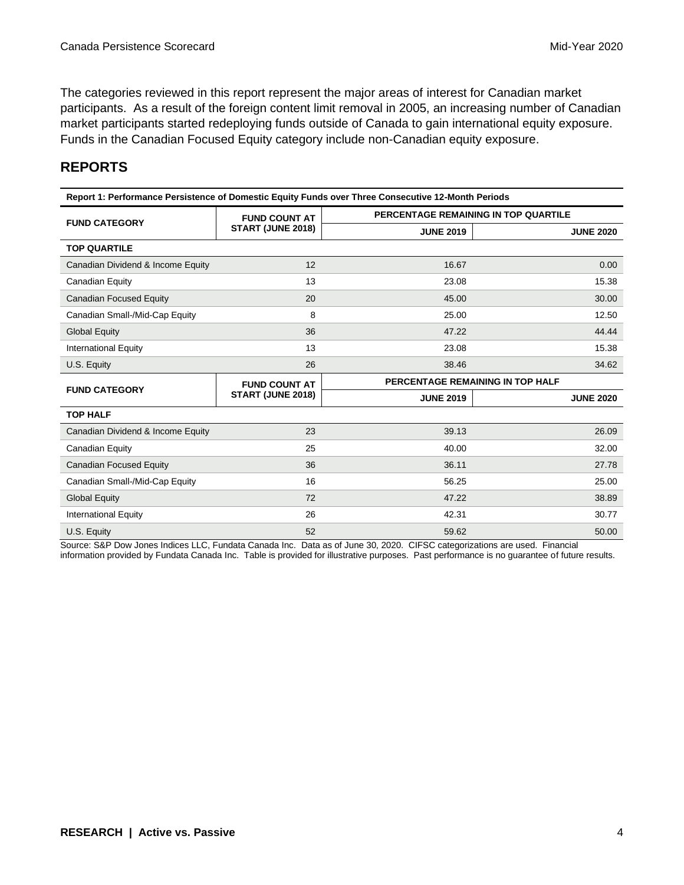The categories reviewed in this report represent the major areas of interest for Canadian market participants. As a result of the foreign content limit removal in 2005, an increasing number of Canadian market participants started redeploying funds outside of Canada to gain international equity exposure. Funds in the Canadian Focused Equity category include non-Canadian equity exposure.

## **REPORTS**

| Report 1: Performance Persistence of Domestic Equity Funds over Three Consecutive 12-Month Periods |                      |                                      |                  |  |  |  |  |  |
|----------------------------------------------------------------------------------------------------|----------------------|--------------------------------------|------------------|--|--|--|--|--|
| <b>FUND CATEGORY</b>                                                                               | <b>FUND COUNT AT</b> | PERCENTAGE REMAINING IN TOP QUARTILE |                  |  |  |  |  |  |
|                                                                                                    | START (JUNE 2018)    | <b>JUNE 2019</b>                     | <b>JUNE 2020</b> |  |  |  |  |  |
| <b>TOP QUARTILE</b>                                                                                |                      |                                      |                  |  |  |  |  |  |
| Canadian Dividend & Income Equity                                                                  | 12                   | 16.67                                | 0.00             |  |  |  |  |  |
| Canadian Equity                                                                                    | 13                   | 23.08                                | 15.38            |  |  |  |  |  |
| Canadian Focused Equity                                                                            | 20                   | 45.00                                | 30.00            |  |  |  |  |  |
| Canadian Small-/Mid-Cap Equity                                                                     | 8                    | 25.00                                | 12.50            |  |  |  |  |  |
| <b>Global Equity</b>                                                                               | 36                   | 47.22                                | 44.44            |  |  |  |  |  |
| <b>International Equity</b>                                                                        | 13                   | 23.08                                | 15.38            |  |  |  |  |  |
| U.S. Equity                                                                                        | 26                   | 38.46                                | 34.62            |  |  |  |  |  |
| <b>FUND CATEGORY</b>                                                                               | <b>FUND COUNT AT</b> | PERCENTAGE REMAINING IN TOP HALF     |                  |  |  |  |  |  |
|                                                                                                    | START (JUNE 2018)    | <b>JUNE 2019</b>                     | <b>JUNE 2020</b> |  |  |  |  |  |
| <b>TOP HALF</b>                                                                                    |                      |                                      |                  |  |  |  |  |  |
| Canadian Dividend & Income Equity                                                                  | 23                   | 39.13                                | 26.09            |  |  |  |  |  |
| Canadian Equity                                                                                    | 25                   | 40.00                                | 32.00            |  |  |  |  |  |
| <b>Canadian Focused Equity</b>                                                                     | 36                   | 36.11                                | 27.78            |  |  |  |  |  |
| Canadian Small-/Mid-Cap Equity                                                                     | 16                   | 56.25                                | 25.00            |  |  |  |  |  |
| <b>Global Equity</b>                                                                               | 72                   | 47.22                                | 38.89            |  |  |  |  |  |
| <b>International Equity</b>                                                                        | 26                   | 42.31                                | 30.77            |  |  |  |  |  |
| U.S. Equity                                                                                        | 52                   | 59.62                                | 50.00            |  |  |  |  |  |

Source: S&P Dow Jones Indices LLC, Fundata Canada Inc. Data as of June 30, 2020. CIFSC categorizations are used. Financial

information provided by Fundata Canada Inc. Table is provided for illustrative purposes. Past performance is no guarantee of future results.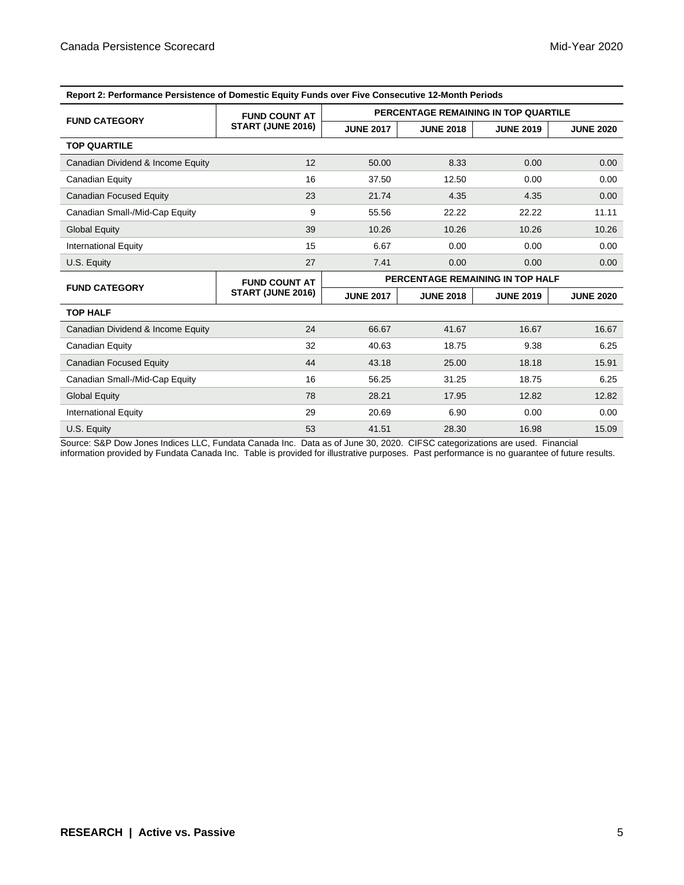| Report 2: Performance Persistence of Domestic Equity Funds over Five Consecutive 12-Month Periods |                      |                                      |                  |                  |                  |  |
|---------------------------------------------------------------------------------------------------|----------------------|--------------------------------------|------------------|------------------|------------------|--|
| <b>FUND CATEGORY</b>                                                                              | <b>FUND COUNT AT</b> | PERCENTAGE REMAINING IN TOP QUARTILE |                  |                  |                  |  |
|                                                                                                   | START (JUNE 2016)    | <b>JUNE 2017</b>                     | <b>JUNE 2018</b> | <b>JUNE 2019</b> | <b>JUNE 2020</b> |  |
| <b>TOP QUARTILE</b>                                                                               |                      |                                      |                  |                  |                  |  |
| Canadian Dividend & Income Equity                                                                 | 12                   | 50.00                                | 8.33             | 0.00             | 0.00             |  |
| Canadian Equity                                                                                   | 16                   | 37.50                                | 12.50            | 0.00             | 0.00             |  |
| Canadian Focused Equity                                                                           | 23                   | 21.74                                | 4.35             | 4.35             | 0.00             |  |
| Canadian Small-/Mid-Cap Equity                                                                    | 9                    | 55.56                                | 22.22            | 22.22            | 11.11            |  |
| <b>Global Equity</b>                                                                              | 39                   | 10.26                                | 10.26            | 10.26            | 10.26            |  |
| <b>International Equity</b>                                                                       | 15                   | 6.67                                 | 0.00             | 0.00             | 0.00             |  |
| U.S. Equity                                                                                       | 27                   | 7.41                                 | 0.00             | 0.00             | 0.00             |  |
| <b>FUND CATEGORY</b>                                                                              | <b>FUND COUNT AT</b> | PERCENTAGE REMAINING IN TOP HALF     |                  |                  |                  |  |
|                                                                                                   | START (JUNE 2016)    | <b>JUNE 2017</b>                     | <b>JUNE 2018</b> | <b>JUNE 2019</b> | <b>JUNE 2020</b> |  |
| <b>TOP HALF</b>                                                                                   |                      |                                      |                  |                  |                  |  |
| Canadian Dividend & Income Equity                                                                 | 24                   | 66.67                                | 41.67            | 16.67            | 16.67            |  |
| Canadian Equity                                                                                   | 32                   | 40.63                                | 18.75            | 9.38             | 6.25             |  |
| <b>Canadian Focused Equity</b>                                                                    | 44                   | 43.18                                | 25.00            | 18.18            | 15.91            |  |
| Canadian Small-/Mid-Cap Equity                                                                    | 16                   | 56.25                                | 31.25            | 18.75            | 6.25             |  |
| <b>Global Equity</b>                                                                              | 78                   | 28.21                                | 17.95            | 12.82            | 12.82            |  |
| <b>International Equity</b>                                                                       | 29                   | 20.69                                | 6.90             | 0.00             | 0.00             |  |
| U.S. Equity                                                                                       | 53                   | 41.51                                | 28.30            | 16.98            | 15.09            |  |

Source: S&P Dow Jones Indices LLC, Fundata Canada Inc. Data as of June 30, 2020. CIFSC categorizations are used. Financial information provided by Fundata Canada Inc. Table is provided for illustrative purposes. Past performance is no guarantee of future results.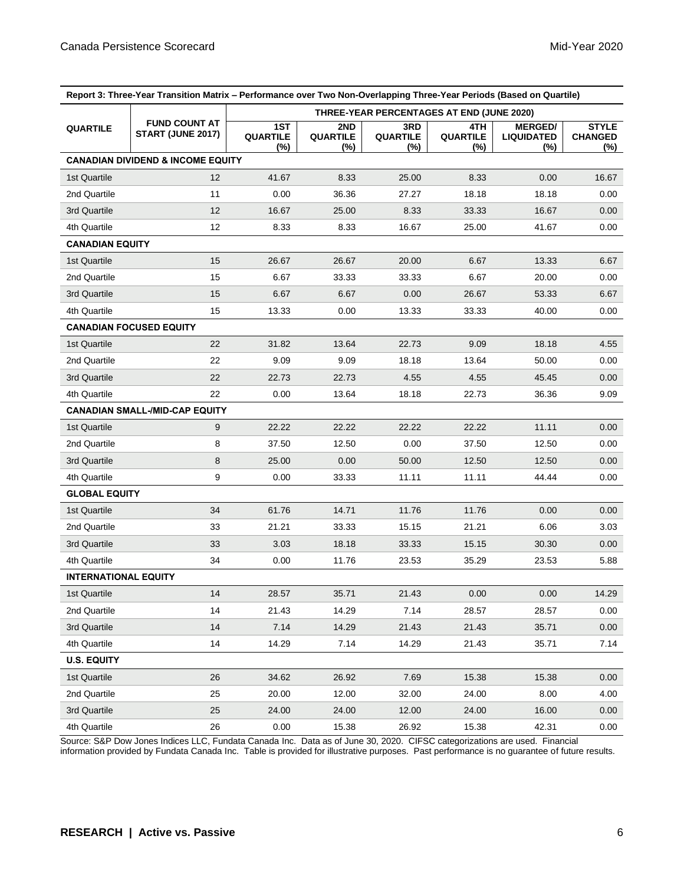| Report 3: Three-Year Transition Matrix - Performance over Two Non-Overlapping Three-Year Periods (Based on Quartile) |                                              |                                           |                               |                                  |                               |                                               |                                          |  |
|----------------------------------------------------------------------------------------------------------------------|----------------------------------------------|-------------------------------------------|-------------------------------|----------------------------------|-------------------------------|-----------------------------------------------|------------------------------------------|--|
|                                                                                                                      | <b>FUND COUNT AT</b><br>START (JUNE 2017)    | THREE-YEAR PERCENTAGES AT END (JUNE 2020) |                               |                                  |                               |                                               |                                          |  |
| <b>QUARTILE</b>                                                                                                      |                                              | 1ST<br><b>QUARTILE</b><br>(%)             | 2ND<br><b>QUARTILE</b><br>(%) | 3RD<br><b>QUARTILE</b><br>$(\%)$ | 4TH<br><b>QUARTILE</b><br>(%) | <b>MERGED/</b><br><b>LIQUIDATED</b><br>$(\%)$ | <b>STYLE</b><br><b>CHANGED</b><br>$(\%)$ |  |
|                                                                                                                      | <b>CANADIAN DIVIDEND &amp; INCOME EQUITY</b> |                                           |                               |                                  |                               |                                               |                                          |  |
| 1st Quartile                                                                                                         | 12                                           | 41.67                                     | 8.33                          | 25.00                            | 8.33                          | 0.00                                          | 16.67                                    |  |
| 2nd Quartile                                                                                                         | 11                                           | 0.00                                      | 36.36                         | 27.27                            | 18.18                         | 18.18                                         | 0.00                                     |  |
| 3rd Quartile                                                                                                         | 12                                           | 16.67                                     | 25.00                         | 8.33                             | 33.33                         | 16.67                                         | 0.00                                     |  |
| 4th Quartile                                                                                                         | 12                                           | 8.33                                      | 8.33                          | 16.67                            | 25.00                         | 41.67                                         | 0.00                                     |  |
| <b>CANADIAN EQUITY</b>                                                                                               |                                              |                                           |                               |                                  |                               |                                               |                                          |  |
| 1st Quartile                                                                                                         | 15                                           | 26.67                                     | 26.67                         | 20.00                            | 6.67                          | 13.33                                         | 6.67                                     |  |
| 2nd Quartile                                                                                                         | 15                                           | 6.67                                      | 33.33                         | 33.33                            | 6.67                          | 20.00                                         | 0.00                                     |  |
| 3rd Quartile                                                                                                         | 15                                           | 6.67                                      | 6.67                          | 0.00                             | 26.67                         | 53.33                                         | 6.67                                     |  |
| 4th Quartile                                                                                                         | 15                                           | 13.33                                     | 0.00                          | 13.33                            | 33.33                         | 40.00                                         | 0.00                                     |  |
|                                                                                                                      | <b>CANADIAN FOCUSED EQUITY</b>               |                                           |                               |                                  |                               |                                               |                                          |  |
| 1st Quartile                                                                                                         | 22                                           | 31.82                                     | 13.64                         | 22.73                            | 9.09                          | 18.18                                         | 4.55                                     |  |
| 2nd Quartile                                                                                                         | 22                                           | 9.09                                      | 9.09                          | 18.18                            | 13.64                         | 50.00                                         | 0.00                                     |  |
| 3rd Quartile                                                                                                         | 22                                           | 22.73                                     | 22.73                         | 4.55                             | 4.55                          | 45.45                                         | 0.00                                     |  |
| 4th Quartile                                                                                                         | 22                                           | 0.00                                      | 13.64                         | 18.18                            | 22.73                         | 36.36                                         | 9.09                                     |  |
|                                                                                                                      | <b>CANADIAN SMALL-/MID-CAP EQUITY</b>        |                                           |                               |                                  |                               |                                               |                                          |  |
| 1st Quartile                                                                                                         | 9                                            | 22.22                                     | 22.22                         | 22.22                            | 22.22                         | 11.11                                         | 0.00                                     |  |
| 2nd Quartile                                                                                                         | 8                                            | 37.50                                     | 12.50                         | 0.00                             | 37.50                         | 12.50                                         | 0.00                                     |  |
| 3rd Quartile                                                                                                         | 8                                            | 25.00                                     | 0.00                          | 50.00                            | 12.50                         | 12.50                                         | 0.00                                     |  |
| 4th Quartile                                                                                                         | 9                                            | 0.00                                      | 33.33                         | 11.11                            | 11.11                         | 44.44                                         | 0.00                                     |  |
| <b>GLOBAL EQUITY</b>                                                                                                 |                                              |                                           |                               |                                  |                               |                                               |                                          |  |
| 1st Quartile                                                                                                         | 34                                           | 61.76                                     | 14.71                         | 11.76                            | 11.76                         | 0.00                                          | 0.00                                     |  |
| 2nd Quartile                                                                                                         | 33                                           | 21.21                                     | 33.33                         | 15.15                            | 21.21                         | 6.06                                          | 3.03                                     |  |
| 3rd Quartile                                                                                                         | 33                                           | 3.03                                      | 18.18                         | 33.33                            | 15.15                         | 30.30                                         | 0.00                                     |  |
| 4th Quartile                                                                                                         | 34                                           | 0.00                                      | 11.76                         | 23.53                            | 35.29                         | 23.53                                         | 5.88                                     |  |
| <b>INTERNATIONAL EQUITY</b>                                                                                          |                                              |                                           |                               |                                  |                               |                                               |                                          |  |
| 1st Quartile                                                                                                         | 14                                           | 28.57                                     | 35.71                         | 21.43                            | $0.00\,$                      | 0.00                                          | 14.29                                    |  |
| 2nd Quartile                                                                                                         | 14                                           | 21.43                                     | 14.29                         | 7.14                             | 28.57                         | 28.57                                         | 0.00                                     |  |
| 3rd Quartile                                                                                                         | 14                                           | 7.14                                      | 14.29                         | 21.43                            | 21.43                         | 35.71                                         | 0.00                                     |  |
| 4th Quartile                                                                                                         | 14                                           | 14.29                                     | 7.14                          | 14.29                            | 21.43                         | 35.71                                         | 7.14                                     |  |
| <b>U.S. EQUITY</b>                                                                                                   |                                              |                                           |                               |                                  |                               |                                               |                                          |  |
| 1st Quartile                                                                                                         | 26                                           | 34.62                                     | 26.92                         | 7.69                             | 15.38                         | 15.38                                         | 0.00                                     |  |
| 2nd Quartile                                                                                                         | 25                                           | 20.00                                     | 12.00                         | 32.00                            | 24.00                         | 8.00                                          | 4.00                                     |  |
| 3rd Quartile                                                                                                         | 25                                           | 24.00                                     | 24.00                         | 12.00                            | 24.00                         | 16.00                                         | 0.00                                     |  |
| 4th Quartile                                                                                                         | 26                                           | 0.00                                      | 15.38                         | 26.92                            | 15.38                         | 42.31                                         | 0.00                                     |  |

Source: S&P Dow Jones Indices LLC, Fundata Canada Inc. Data as of June 30, 2020. CIFSC categorizations are used. Financial information provided by Fundata Canada Inc. Table is provided for illustrative purposes. Past performance is no guarantee of future results.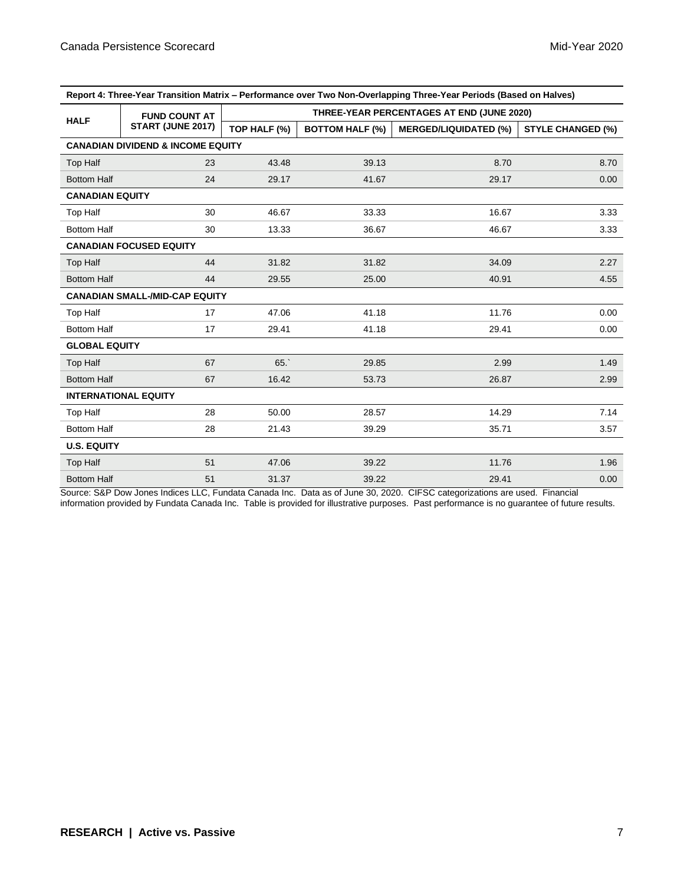| Report 4: Three-Year Transition Matrix – Performance over Two Non-Overlapping Three-Year Periods (Based on Halves) |                                           |                                           |                        |                              |                          |  |  |  |  |
|--------------------------------------------------------------------------------------------------------------------|-------------------------------------------|-------------------------------------------|------------------------|------------------------------|--------------------------|--|--|--|--|
|                                                                                                                    | <b>FUND COUNT AT</b><br>START (JUNE 2017) | THREE-YEAR PERCENTAGES AT END (JUNE 2020) |                        |                              |                          |  |  |  |  |
| <b>HALF</b>                                                                                                        |                                           | TOP HALF (%)                              | <b>BOTTOM HALF (%)</b> | <b>MERGED/LIQUIDATED (%)</b> | <b>STYLE CHANGED (%)</b> |  |  |  |  |
| <b>CANADIAN DIVIDEND &amp; INCOME EQUITY</b>                                                                       |                                           |                                           |                        |                              |                          |  |  |  |  |
| <b>Top Half</b>                                                                                                    | 23                                        | 43.48                                     | 39.13                  | 8.70                         | 8.70                     |  |  |  |  |
| <b>Bottom Half</b>                                                                                                 | 24                                        | 29.17                                     | 41.67                  | 29.17                        | 0.00                     |  |  |  |  |
| <b>CANADIAN EQUITY</b>                                                                                             |                                           |                                           |                        |                              |                          |  |  |  |  |
| Top Half                                                                                                           | 30                                        | 46.67                                     | 33.33                  | 16.67                        | 3.33                     |  |  |  |  |
| <b>Bottom Half</b>                                                                                                 | 30                                        | 13.33                                     | 36.67                  | 46.67                        | 3.33                     |  |  |  |  |
|                                                                                                                    | <b>CANADIAN FOCUSED EQUITY</b>            |                                           |                        |                              |                          |  |  |  |  |
| Top Half                                                                                                           | 44                                        | 31.82                                     | 31.82                  | 34.09                        | 2.27                     |  |  |  |  |
| <b>Bottom Half</b>                                                                                                 | 44                                        | 29.55                                     | 25.00                  | 40.91                        | 4.55                     |  |  |  |  |
|                                                                                                                    | <b>CANADIAN SMALL-/MID-CAP EQUITY</b>     |                                           |                        |                              |                          |  |  |  |  |
| Top Half                                                                                                           | 17                                        | 47.06                                     | 41.18                  | 11.76                        | 0.00                     |  |  |  |  |
| <b>Bottom Half</b>                                                                                                 | 17                                        | 29.41                                     | 41.18                  | 29.41                        | 0.00                     |  |  |  |  |
| <b>GLOBAL EQUITY</b>                                                                                               |                                           |                                           |                        |                              |                          |  |  |  |  |
| <b>Top Half</b>                                                                                                    | 67                                        | 65.                                       | 29.85                  | 2.99                         | 1.49                     |  |  |  |  |
| <b>Bottom Half</b>                                                                                                 | 67                                        | 16.42                                     | 53.73                  | 26.87                        | 2.99                     |  |  |  |  |
|                                                                                                                    | <b>INTERNATIONAL EQUITY</b>               |                                           |                        |                              |                          |  |  |  |  |
| Top Half                                                                                                           | 28                                        | 50.00                                     | 28.57                  | 14.29                        | 7.14                     |  |  |  |  |
| <b>Bottom Half</b>                                                                                                 | 28                                        | 21.43                                     | 39.29                  | 35.71                        | 3.57                     |  |  |  |  |
| <b>U.S. EQUITY</b>                                                                                                 |                                           |                                           |                        |                              |                          |  |  |  |  |
| Top Half                                                                                                           | 51                                        | 47.06                                     | 39.22                  | 11.76                        | 1.96                     |  |  |  |  |
| <b>Bottom Half</b>                                                                                                 | 51                                        | 31.37                                     | 39.22                  | 29.41                        | 0.00                     |  |  |  |  |

**Report 4: Three-Year Transition Matrix – Performance over Two Non-Overlapping Three-Year Periods (Based on Halves)**

Source: S&P Dow Jones Indices LLC, Fundata Canada Inc. Data as of June 30, 2020. CIFSC categorizations are used. Financial information provided by Fundata Canada Inc. Table is provided for illustrative purposes. Past performance is no guarantee of future results.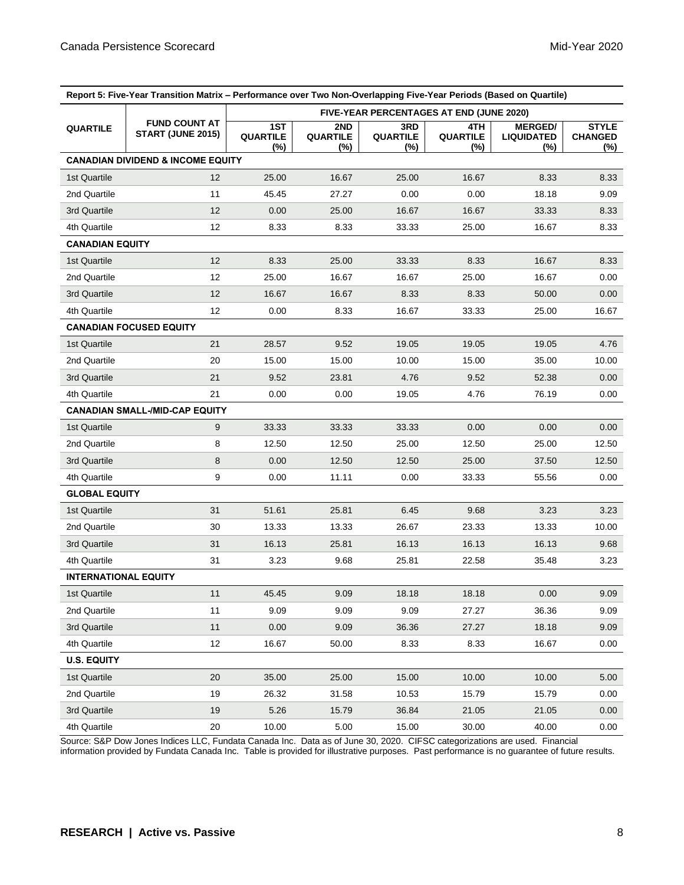| Report 5: Five-Year Transition Matrix – Performance over Two Non-Overlapping Five-Year Periods (Based on Quartile) |                                              |                                                 |                        |                               |                         |                                            |                                       |  |
|--------------------------------------------------------------------------------------------------------------------|----------------------------------------------|-------------------------------------------------|------------------------|-------------------------------|-------------------------|--------------------------------------------|---------------------------------------|--|
|                                                                                                                    | <b>FUND COUNT AT</b><br>START (JUNE 2015)    | <b>FIVE-YEAR PERCENTAGES AT END (JUNE 2020)</b> |                        |                               |                         |                                            |                                       |  |
| <b>QUARTILE</b>                                                                                                    |                                              | 1ST<br><b>QUARTILE</b><br>(%)                   | 2ND<br>QUARTILE<br>(%) | 3RD<br><b>QUARTILE</b><br>(%) | 4TH.<br>QUARTILE<br>(%) | <b>MERGED/</b><br><b>LIQUIDATED</b><br>(%) | <b>STYLE</b><br><b>CHANGED</b><br>(%) |  |
|                                                                                                                    | <b>CANADIAN DIVIDEND &amp; INCOME EQUITY</b> |                                                 |                        |                               |                         |                                            |                                       |  |
| 1st Quartile                                                                                                       | $12 \overline{ }$                            | 25.00                                           | 16.67                  | 25.00                         | 16.67                   | 8.33                                       | 8.33                                  |  |
| 2nd Quartile                                                                                                       | 11                                           | 45.45                                           | 27.27                  | 0.00                          | 0.00                    | 18.18                                      | 9.09                                  |  |
| 3rd Quartile                                                                                                       | 12                                           | 0.00                                            | 25.00                  | 16.67                         | 16.67                   | 33.33                                      | 8.33                                  |  |
| 4th Quartile                                                                                                       | 12                                           | 8.33                                            | 8.33                   | 33.33                         | 25.00                   | 16.67                                      | 8.33                                  |  |
| <b>CANADIAN EQUITY</b>                                                                                             |                                              |                                                 |                        |                               |                         |                                            |                                       |  |
| 1st Quartile                                                                                                       | 12                                           | 8.33                                            | 25.00                  | 33.33                         | 8.33                    | 16.67                                      | 8.33                                  |  |
| 2nd Quartile                                                                                                       | 12                                           | 25.00                                           | 16.67                  | 16.67                         | 25.00                   | 16.67                                      | 0.00                                  |  |
| 3rd Quartile                                                                                                       | 12                                           | 16.67                                           | 16.67                  | 8.33                          | 8.33                    | 50.00                                      | 0.00                                  |  |
| 4th Quartile                                                                                                       | 12                                           | 0.00                                            | 8.33                   | 16.67                         | 33.33                   | 25.00                                      | 16.67                                 |  |
|                                                                                                                    | <b>CANADIAN FOCUSED EQUITY</b>               |                                                 |                        |                               |                         |                                            |                                       |  |
| 1st Quartile                                                                                                       | 21                                           | 28.57                                           | 9.52                   | 19.05                         | 19.05                   | 19.05                                      | 4.76                                  |  |
| 2nd Quartile                                                                                                       | 20                                           | 15.00                                           | 15.00                  | 10.00                         | 15.00                   | 35.00                                      | 10.00                                 |  |
| 3rd Quartile                                                                                                       | 21                                           | 9.52                                            | 23.81                  | 4.76                          | 9.52                    | 52.38                                      | 0.00                                  |  |
| 4th Quartile                                                                                                       | 21                                           | 0.00                                            | 0.00                   | 19.05                         | 4.76                    | 76.19                                      | 0.00                                  |  |
|                                                                                                                    | <b>CANADIAN SMALL-/MID-CAP EQUITY</b>        |                                                 |                        |                               |                         |                                            |                                       |  |
| 1st Quartile                                                                                                       | 9                                            | 33.33                                           | 33.33                  | 33.33                         | 0.00                    | 0.00                                       | 0.00                                  |  |
| 2nd Quartile                                                                                                       | 8                                            | 12.50                                           | 12.50                  | 25.00                         | 12.50                   | 25.00                                      | 12.50                                 |  |
| 3rd Quartile                                                                                                       | 8                                            | 0.00                                            | 12.50                  | 12.50                         | 25.00                   | 37.50                                      | 12.50                                 |  |
| 4th Quartile                                                                                                       | 9                                            | 0.00                                            | 11.11                  | 0.00                          | 33.33                   | 55.56                                      | 0.00                                  |  |
| <b>GLOBAL EQUITY</b>                                                                                               |                                              |                                                 |                        |                               |                         |                                            |                                       |  |
| 1st Quartile                                                                                                       | 31                                           | 51.61                                           | 25.81                  | 6.45                          | 9.68                    | 3.23                                       | 3.23                                  |  |
| 2nd Quartile                                                                                                       | 30                                           | 13.33                                           | 13.33                  | 26.67                         | 23.33                   | 13.33                                      | 10.00                                 |  |
| 3rd Quartile                                                                                                       | 31                                           | 16.13                                           | 25.81                  | 16.13                         | 16.13                   | 16.13                                      | 9.68                                  |  |
| 4th Quartile                                                                                                       | 31                                           | 3.23                                            | 9.68                   | 25.81                         | 22.58                   | 35.48                                      | 3.23                                  |  |
| <b>INTERNATIONAL EQUITY</b>                                                                                        |                                              |                                                 |                        |                               |                         |                                            |                                       |  |
| 1st Quartile                                                                                                       | 11                                           | 45.45                                           | 9.09                   | 18.18                         | 18.18                   | 0.00                                       | 9.09                                  |  |
| 2nd Quartile                                                                                                       | 11                                           | 9.09                                            | 9.09                   | 9.09                          | 27.27                   | 36.36                                      | 9.09                                  |  |
| 3rd Quartile                                                                                                       | 11                                           | 0.00                                            | 9.09                   | 36.36                         | 27.27                   | 18.18                                      | 9.09                                  |  |
| 4th Quartile                                                                                                       | 12                                           | 16.67                                           | 50.00                  | 8.33                          | 8.33                    | 16.67                                      | 0.00                                  |  |
| <b>U.S. EQUITY</b>                                                                                                 |                                              |                                                 |                        |                               |                         |                                            |                                       |  |
| 1st Quartile                                                                                                       | 20                                           | 35.00                                           | 25.00                  | 15.00                         | 10.00                   | 10.00                                      | 5.00                                  |  |
| 2nd Quartile                                                                                                       | 19                                           | 26.32                                           | 31.58                  | 10.53                         | 15.79                   | 15.79                                      | 0.00                                  |  |
| 3rd Quartile                                                                                                       | 19                                           | 5.26                                            | 15.79                  | 36.84                         | 21.05                   | 21.05                                      | 0.00                                  |  |
| 4th Quartile                                                                                                       | 20                                           | 10.00                                           | 5.00                   | 15.00                         | 30.00                   | 40.00                                      | 0.00                                  |  |

Source: S&P Dow Jones Indices LLC, Fundata Canada Inc. Data as of June 30, 2020. CIFSC categorizations are used. Financial information provided by Fundata Canada Inc. Table is provided for illustrative purposes. Past performance is no guarantee of future results.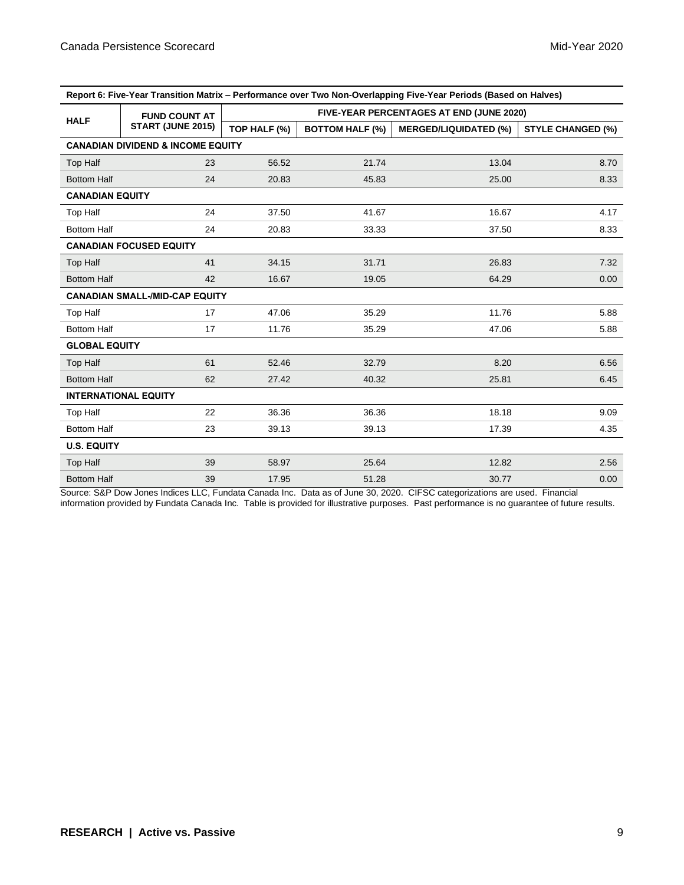| Report 6: Five-Year Transition Matrix – Performance over Two Non-Overlapping Five-Year Periods (Based on Halves) |                                           |                                          |                        |                              |                          |  |  |  |
|------------------------------------------------------------------------------------------------------------------|-------------------------------------------|------------------------------------------|------------------------|------------------------------|--------------------------|--|--|--|
| <b>HALF</b>                                                                                                      | <b>FUND COUNT AT</b><br>START (JUNE 2015) | FIVE-YEAR PERCENTAGES AT END (JUNE 2020) |                        |                              |                          |  |  |  |
|                                                                                                                  |                                           | TOP HALF (%)                             | <b>BOTTOM HALF (%)</b> | <b>MERGED/LIQUIDATED (%)</b> | <b>STYLE CHANGED (%)</b> |  |  |  |
| <b>CANADIAN DIVIDEND &amp; INCOME EQUITY</b>                                                                     |                                           |                                          |                        |                              |                          |  |  |  |
| <b>Top Half</b>                                                                                                  | 23                                        | 56.52                                    | 21.74                  | 13.04                        | 8.70                     |  |  |  |
| <b>Bottom Half</b>                                                                                               | 24                                        | 20.83                                    | 45.83                  | 25.00                        | 8.33                     |  |  |  |
| <b>CANADIAN EQUITY</b>                                                                                           |                                           |                                          |                        |                              |                          |  |  |  |
| <b>Top Half</b>                                                                                                  | 24                                        | 37.50                                    | 41.67                  | 16.67                        | 4.17                     |  |  |  |
| <b>Bottom Half</b>                                                                                               | 24                                        | 20.83                                    | 33.33                  | 37.50                        | 8.33                     |  |  |  |
|                                                                                                                  | <b>CANADIAN FOCUSED EQUITY</b>            |                                          |                        |                              |                          |  |  |  |
| <b>Top Half</b>                                                                                                  | 41                                        | 34.15                                    | 31.71                  | 26.83                        | 7.32                     |  |  |  |
| <b>Bottom Half</b>                                                                                               | 42                                        | 16.67                                    | 19.05                  | 64.29                        | 0.00                     |  |  |  |
|                                                                                                                  | <b>CANADIAN SMALL-/MID-CAP EQUITY</b>     |                                          |                        |                              |                          |  |  |  |
| <b>Top Half</b>                                                                                                  | 17                                        | 47.06                                    | 35.29                  | 11.76                        | 5.88                     |  |  |  |
| <b>Bottom Half</b>                                                                                               | 17                                        | 11.76                                    | 35.29                  | 47.06                        | 5.88                     |  |  |  |
| <b>GLOBAL EQUITY</b>                                                                                             |                                           |                                          |                        |                              |                          |  |  |  |
| <b>Top Half</b>                                                                                                  | 61                                        | 52.46                                    | 32.79                  | 8.20                         | 6.56                     |  |  |  |
| <b>Bottom Half</b>                                                                                               | 62                                        | 27.42                                    | 40.32                  | 25.81                        | 6.45                     |  |  |  |
|                                                                                                                  | <b>INTERNATIONAL EQUITY</b>               |                                          |                        |                              |                          |  |  |  |
| <b>Top Half</b>                                                                                                  | 22                                        | 36.36                                    | 36.36                  | 18.18                        | 9.09                     |  |  |  |
| <b>Bottom Half</b>                                                                                               | 23                                        | 39.13                                    | 39.13                  | 17.39                        | 4.35                     |  |  |  |
| <b>U.S. EQUITY</b>                                                                                               |                                           |                                          |                        |                              |                          |  |  |  |
| <b>Top Half</b>                                                                                                  | 39                                        | 58.97                                    | 25.64                  | 12.82                        | 2.56                     |  |  |  |
| <b>Bottom Half</b>                                                                                               | 39                                        | 17.95                                    | 51.28                  | 30.77                        | 0.00                     |  |  |  |

**Report 6: Five-Year Transition Matrix – Performance over Two Non-Overlapping Five-Year Periods (Based on Halves)**

Source: S&P Dow Jones Indices LLC, Fundata Canada Inc. Data as of June 30, 2020. CIFSC categorizations are used. Financial information provided by Fundata Canada Inc. Table is provided for illustrative purposes. Past performance is no guarantee of future results.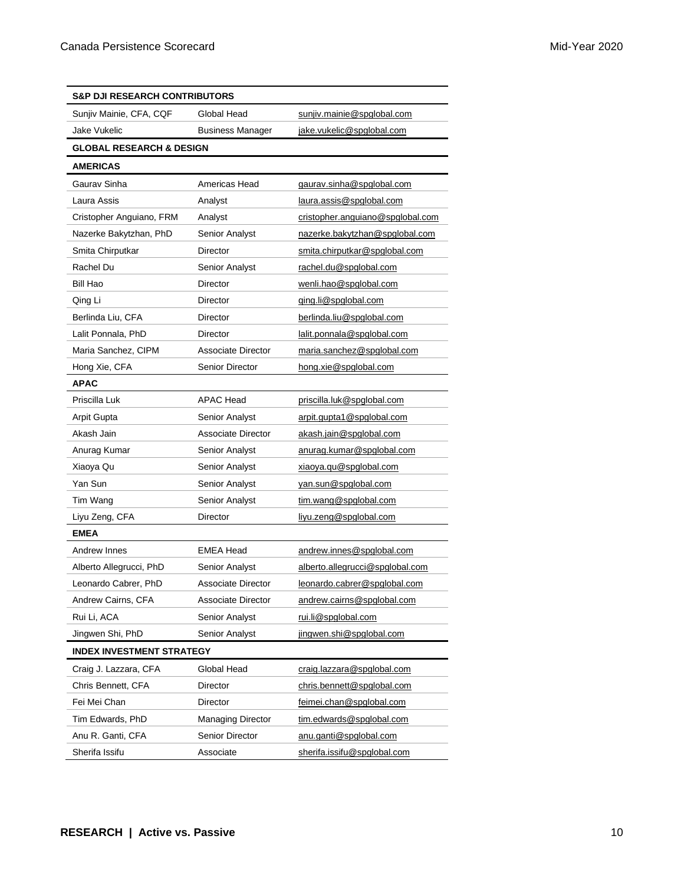| S&P DJI RESEARCH CONTRIBUTORS       |                                                      |                                  |  |  |  |  |
|-------------------------------------|------------------------------------------------------|----------------------------------|--|--|--|--|
| Sunjiv Mainie, CFA, CQF             | Global Head                                          | sunjiv.mainie@spglobal.com       |  |  |  |  |
| Jake Vukelic                        | <b>Business Manager</b><br>jake.vukelic@spglobal.com |                                  |  |  |  |  |
| <b>GLOBAL RESEARCH &amp; DESIGN</b> |                                                      |                                  |  |  |  |  |
| <b>AMERICAS</b>                     |                                                      |                                  |  |  |  |  |
| Gaurav Sinha                        | Americas Head                                        | gaurav.sinha@spglobal.com        |  |  |  |  |
| Laura Assis                         | Analyst                                              | laura.assis@spglobal.com         |  |  |  |  |
| Cristopher Anguiano, FRM            | Analyst                                              | cristopher.anguiano@spglobal.com |  |  |  |  |
| Nazerke Bakytzhan, PhD              | Senior Analyst                                       | nazerke.bakytzhan@spglobal.com   |  |  |  |  |
| Smita Chirputkar                    | <b>Director</b>                                      | smita.chirputkar@spglobal.com    |  |  |  |  |
| Rachel Du                           | <b>Senior Analyst</b>                                | rachel.du@spglobal.com           |  |  |  |  |
| Bill Hao                            | Director                                             | wenli.hao@spglobal.com           |  |  |  |  |
| Qing Li                             | Director                                             | ging.li@spglobal.com             |  |  |  |  |
| Berlinda Liu, CFA                   | <b>Director</b>                                      | berlinda.liu@spglobal.com        |  |  |  |  |
| Lalit Ponnala, PhD                  | <b>Director</b>                                      | lalit.ponnala@spglobal.com       |  |  |  |  |
| Maria Sanchez, CIPM                 | Associate Director                                   | maria.sanchez@spglobal.com       |  |  |  |  |
| Hong Xie, CFA                       | <b>Senior Director</b>                               | hong.xie@spglobal.com            |  |  |  |  |
| <b>APAC</b>                         |                                                      |                                  |  |  |  |  |
| Priscilla Luk                       | <b>APAC Head</b>                                     | priscilla.luk@spglobal.com       |  |  |  |  |
| Arpit Gupta                         | Senior Analyst                                       | arpit.gupta1@spglobal.com        |  |  |  |  |
| Akash Jain                          | Associate Director                                   | akash.jain@spglobal.com          |  |  |  |  |
| Anurag Kumar                        | <b>Senior Analyst</b>                                | anurag.kumar@spglobal.com        |  |  |  |  |
| Xiaoya Qu                           | Senior Analyst                                       | xiaoya.qu@spglobal.com           |  |  |  |  |
| Yan Sun                             | Senior Analyst                                       | yan.sun@spglobal.com             |  |  |  |  |
| Tim Wang                            | Senior Analyst                                       | tim.wang@spglobal.com            |  |  |  |  |
| Liyu Zeng, CFA                      | Director                                             | liyu.zeng@spglobal.com           |  |  |  |  |
| <b>EMEA</b>                         |                                                      |                                  |  |  |  |  |
| Andrew Innes                        | <b>EMEA Head</b>                                     | andrew.innes@spglobal.com        |  |  |  |  |
| Alberto Allegrucci, PhD             | Senior Analyst                                       | alberto.allegrucci@spglobal.com  |  |  |  |  |
| Leonardo Cabrer, PhD                | Associate Director                                   | leonardo.cabrer@spglobal.com     |  |  |  |  |
| Andrew Cairns, CFA                  | <b>Associate Director</b>                            | andrew.cairns@spglobal.com       |  |  |  |  |
| Rui Li, ACA                         | Senior Analyst                                       | rui.li@spglobal.com              |  |  |  |  |
| Jingwen Shi, PhD                    | Senior Analyst                                       | jingwen.shi@spglobal.com         |  |  |  |  |
| <b>INDEX INVESTMENT STRATEGY</b>    |                                                      |                                  |  |  |  |  |
| Craig J. Lazzara, CFA               | Global Head                                          | craig.lazzara@spglobal.com       |  |  |  |  |
| Chris Bennett, CFA                  | Director                                             | chris.bennett@spglobal.com       |  |  |  |  |
| Fei Mei Chan                        | Director                                             | feimei.chan@spglobal.com         |  |  |  |  |
| Tim Edwards, PhD                    | <b>Managing Director</b>                             | tim.edwards@spglobal.com         |  |  |  |  |
| Anu R. Ganti, CFA                   | <b>Senior Director</b>                               | anu.ganti@spglobal.com           |  |  |  |  |
| Sherifa Issifu                      | Associate                                            | sherifa.issifu@spglobal.com      |  |  |  |  |